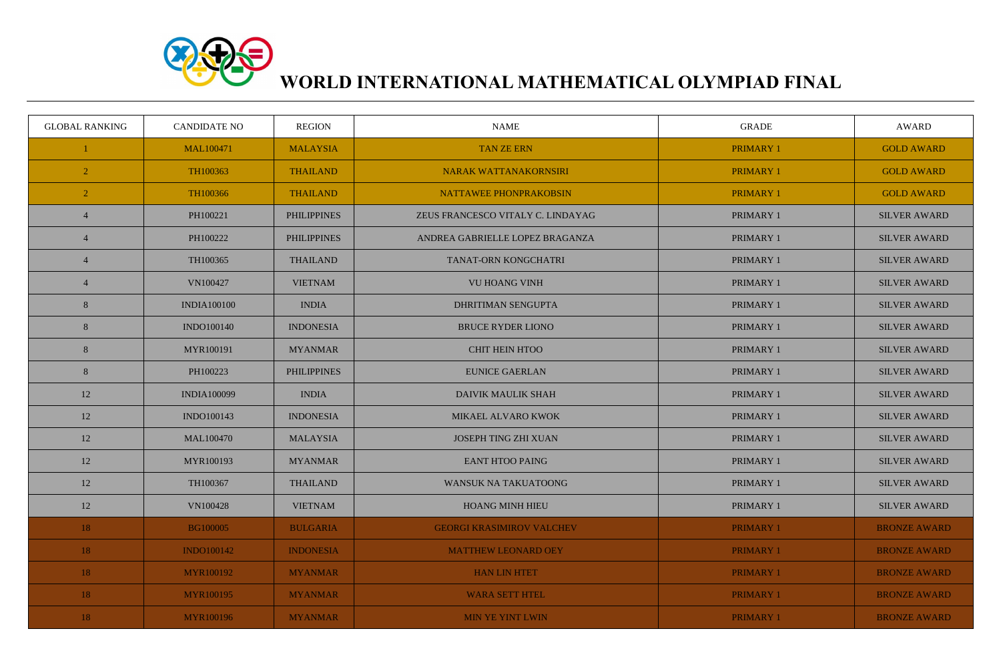

## **WORLD INTERNATIONAL MATHEMATICAL OLYMPIAD FINAL**

| <b>GLOBAL RANKING</b> | <b>CANDIDATE NO</b> | <b>REGION</b>      | <b>NAME</b>                       | <b>GRADE</b>     | <b>AWARD</b>        |
|-----------------------|---------------------|--------------------|-----------------------------------|------------------|---------------------|
|                       | MAL100471           | <b>MALAYSIA</b>    | <b>TAN ZE ERN</b>                 | <b>PRIMARY 1</b> | <b>GOLD AWARD</b>   |
| $\overline{2}$        | TH100363            | <b>THAILAND</b>    | NARAK WATTANAKORNSIRI             | <b>PRIMARY 1</b> | <b>GOLD AWARD</b>   |
| $\overline{2}$        | TH100366            | <b>THAILAND</b>    | NATTAWEE PHONPRAKOBSIN            | <b>PRIMARY 1</b> | <b>GOLD AWARD</b>   |
| $\overline{4}$        | PH100221            | <b>PHILIPPINES</b> | ZEUS FRANCESCO VITALY C. LINDAYAG | <b>PRIMARY 1</b> | <b>SILVER AWARD</b> |
| $\overline{4}$        | PH100222            | <b>PHILIPPINES</b> | ANDREA GABRIELLE LOPEZ BRAGANZA   | <b>PRIMARY 1</b> | <b>SILVER AWARD</b> |
| $\overline{4}$        | TH100365            | <b>THAILAND</b>    | <b>TANAT-ORN KONGCHATRI</b>       | <b>PRIMARY 1</b> | <b>SILVER AWARD</b> |
| $\overline{4}$        | VN100427            | <b>VIETNAM</b>     | <b>VU HOANG VINH</b>              | PRIMARY 1        | <b>SILVER AWARD</b> |
| 8                     | <b>INDIA100100</b>  | <b>INDIA</b>       | <b>DHRITIMAN SENGUPTA</b>         | <b>PRIMARY 1</b> | <b>SILVER AWARD</b> |
| 8                     | <b>INDO100140</b>   | <b>INDONESIA</b>   | <b>BRUCE RYDER LIONO</b>          | <b>PRIMARY 1</b> | <b>SILVER AWARD</b> |
| 8                     | MYR100191           | <b>MYANMAR</b>     | <b>CHIT HEIN HTOO</b>             | <b>PRIMARY 1</b> | <b>SILVER AWARD</b> |
| 8                     | PH100223            | <b>PHILIPPINES</b> | <b>EUNICE GAERLAN</b>             | <b>PRIMARY 1</b> | <b>SILVER AWARD</b> |
| 12                    | <b>INDIA100099</b>  | <b>INDIA</b>       | <b>DAIVIK MAULIK SHAH</b>         | PRIMARY 1        | <b>SILVER AWARD</b> |
| 12                    | INDO100143          | <b>INDONESIA</b>   | MIKAEL ALVARO KWOK                | PRIMARY 1        | <b>SILVER AWARD</b> |
| 12                    | MAL100470           | <b>MALAYSIA</b>    | <b>JOSEPH TING ZHI XUAN</b>       | PRIMARY 1        | <b>SILVER AWARD</b> |
| 12                    | MYR100193           | <b>MYANMAR</b>     | <b>EANT HTOO PAING</b>            | PRIMARY 1        | <b>SILVER AWARD</b> |
| 12                    | TH100367            | <b>THAILAND</b>    | <b>WANSUK NA TAKUATOONG</b>       | PRIMARY 1        | <b>SILVER AWARD</b> |
| 12                    | VN100428            | <b>VIETNAM</b>     | <b>HOANG MINH HIEU</b>            | PRIMARY 1        | <b>SILVER AWARD</b> |
| 18                    | <b>BG100005</b>     | <b>BULGARIA</b>    | <b>GEORGI KRASIMIROV VALCHEV</b>  | <b>PRIMARY 1</b> | <b>BRONZE AWARD</b> |
| 18                    | <b>INDO100142</b>   | <b>INDONESIA</b>   | <b>MATTHEW LEONARD OEY</b>        | <b>PRIMARY 1</b> | <b>BRONZE AWARD</b> |
| 18                    | <b>MYR100192</b>    | <b>MYANMAR</b>     | <b>HAN LIN HTET</b>               | <b>PRIMARY 1</b> | <b>BRONZE AWARD</b> |
| 18                    | <b>MYR100195</b>    | <b>MYANMAR</b>     | <b>WARA SETT HTEL</b>             | <b>PRIMARY 1</b> | <b>BRONZE AWARD</b> |
| 18                    | <b>MYR100196</b>    | <b>MYANMAR</b>     | MIN YE YINT LWIN                  | <b>PRIMARY 1</b> | <b>BRONZE AWARD</b> |